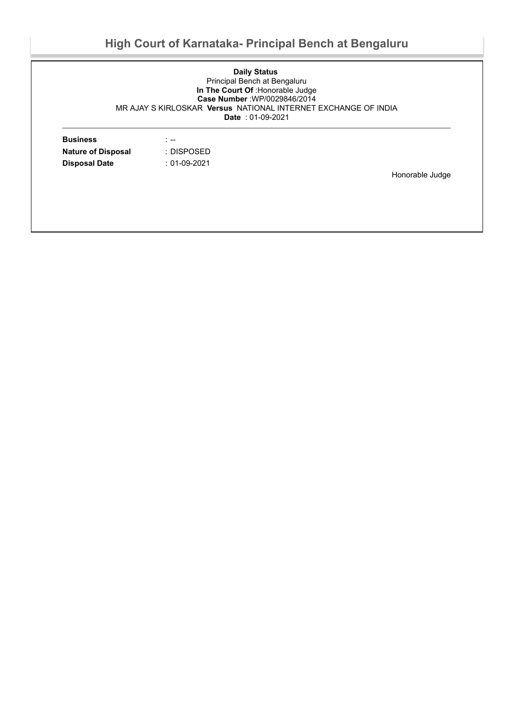# **High Court of Karnataka- Principal Bench at Bengaluru**

#### **Daily Status** Principal Bench at Bengaluru **In The Court Of** :Honorable Judge **Case Number** :WP/0029846/2014 MR AJAY S KIRLOSKAR **Versus** NATIONAL INTERNET EXCHANGE OF INDIA **Date** : 01-09-2021

| <b>Business</b>           | . <b>. .</b>   |                 |
|---------------------------|----------------|-----------------|
| <b>Nature of Disposal</b> | : DISPOSED     |                 |
| <b>Disposal Date</b>      | $: 01-09-2021$ |                 |
|                           |                | Honorable Judge |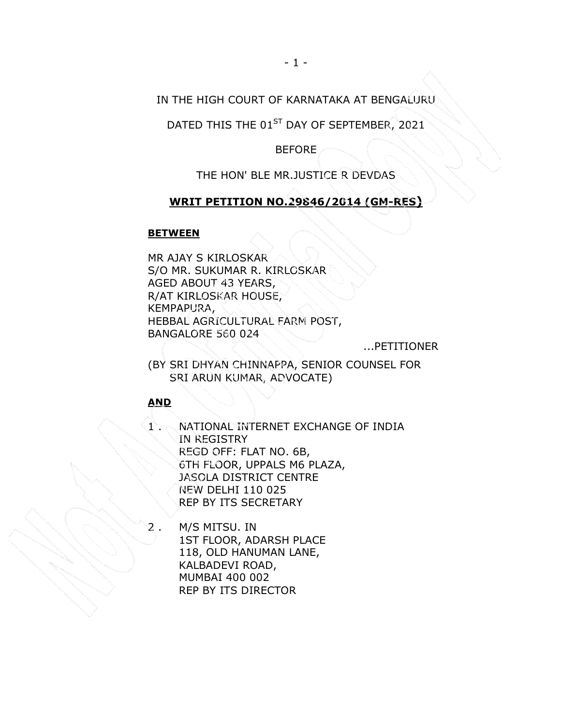## IN THE HIGH COURT OF KARNATAKA AT BENGALURU

DATED THIS THE 01<sup>ST</sup> DAY OF SEPTEMBER, 2021

BEFORE

THE HON' BLE MR.JUSTICE R DEVDAS

## WRIT PETITION NO.29846/2014 (GM-RES)

#### **BETWEEN**

MR AJAY S KIRLOSKAR S/O MR. SUKUMAR R. KIRLOSKAR AGED ABOUT 43 YEARS, R/AT KIRLOSKAR HOUSE, KEMPAPURA, HEBBAL AGRICULTURAL FARM POST, BANGALORE 560 024

...PETITIONER

(BY SRI DHYAN CHINNAPPA, SENIOR COUNSEL FOR SRI ARUN KUMAR, ADVOCATE)

### AND

1 . NATIONAL INTERNET EXCHANGE OF INDIA IN REGISTRY REGD OFF: FLAT NO. 6B, 6TH FLOOR, UPPALS M6 PLAZA, JASOLA DISTRICT CENTRE NEW DELHI 110 025 REP BY ITS SECRETARY

2 . M/S MITSU. IN 1ST FLOOR, ADARSH PLACE 118, OLD HANUMAN LANE, KALBADEVI ROAD, MUMBAI 400 002 REP BY ITS DIRECTOR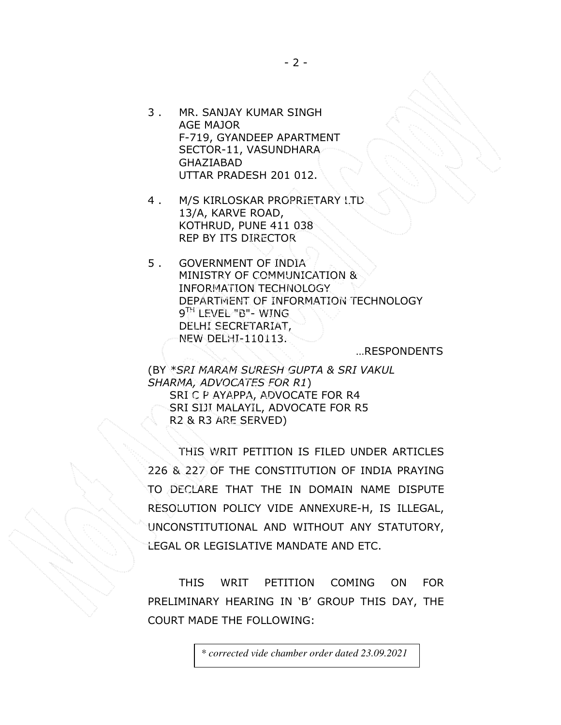- 3 . MR. SANJAY KUMAR SINGH AGE MAJOR F-719, GYANDEEP APARTMENT SECTOR-11, VASUNDHARA GHAZIABAD UTTAR PRADESH 201 012.
- 4 . M/S KIRLOSKAR PROPRIETARY LTD 13/A, KARVE ROAD, KOTHRUD, PUNE 411 038 REP BY ITS DIRECTOR
- 5 . GOVERNMENT OF INDIA MINISTRY OF COMMUNICATION & INFORMATION TECHNOLOGY DEPARTMENT OF INFORMATION TECHNOLOGY 9 TH LEVEL "B"- WING DELHI SECRETARIAT, NEW DELHI-110113.

…RESPONDENTS

(BY \*SRI MARAM SURESH GUPTA & SRI VAKUL SHARMA, ADVOCATES FOR R1) SRI C P AYAPPA, ADVOCATE FOR R4 SRI SIJI MALAYIL, ADVOCATE FOR R5 R2 & R3 ARE SERVED)

THIS WRIT PETITION IS FILED UNDER ARTICLES 226 & 227 OF THE CONSTITUTION OF INDIA PRAYING TO DECLARE THAT THE IN DOMAIN NAME DISPUTE RESOLUTION POLICY VIDE ANNEXURE-H, IS ILLEGAL, UNCONSTITUTIONAL AND WITHOUT ANY STATUTORY, LEGAL OR LEGISLATIVE MANDATE AND ETC.

THIS WRIT PETITION COMING ON FOR PRELIMINARY HEARING IN 'B' GROUP THIS DAY, THE COURT MADE THE FOLLOWING: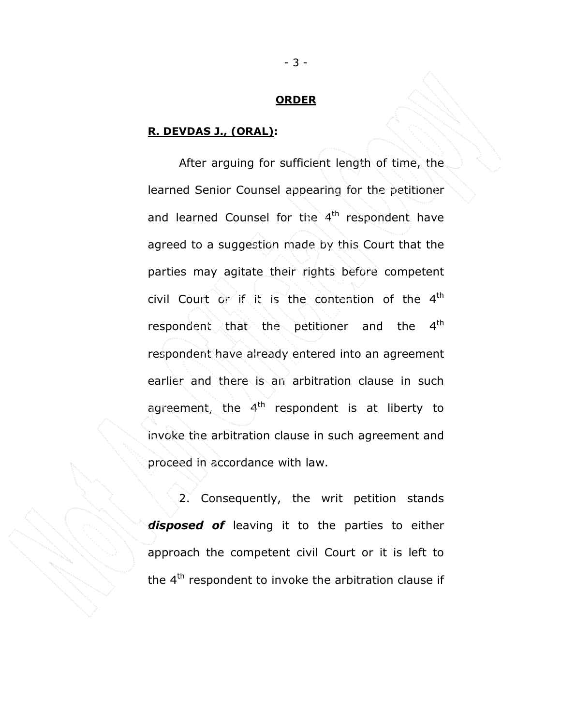#### **ORDER**

### R. DEVDAS J., (ORAL):

After arguing for sufficient length of time, the learned Senior Counsel appearing for the petitioner and learned Counsel for the 4<sup>th</sup> respondent have agreed to a suggestion made by this Court that the parties may agitate their rights before competent civil Court or if it is the contention of the 4th respondent that the petitioner and the 4<sup>th</sup> respondent have already entered into an agreement earlier and there is an arbitration clause in such agreement, the  $4<sup>th</sup>$  respondent is at liberty to invoke the arbitration clause in such agreement and proceed in accordance with law.

2. Consequently, the writ petition stands disposed of leaving it to the parties to either approach the competent civil Court or it is left to the  $4<sup>th</sup>$  respondent to invoke the arbitration clause if